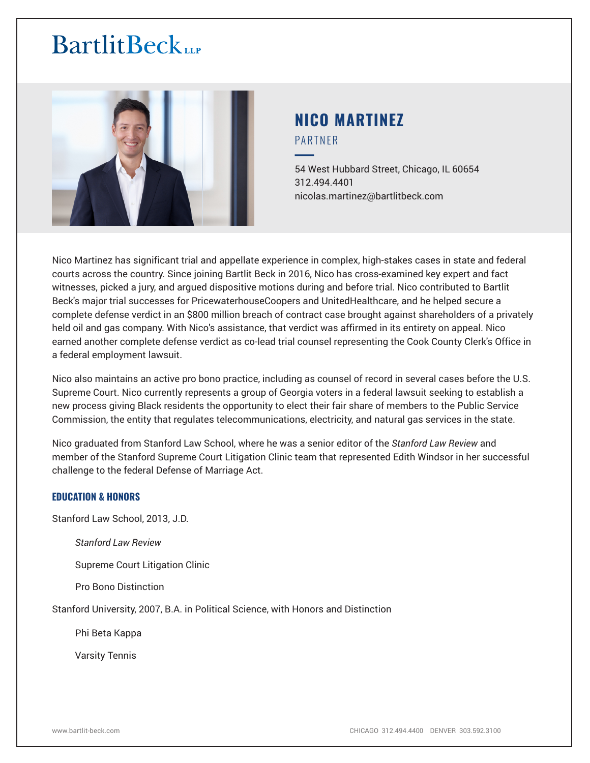

# **NICO MARTINEZ** PARTNER

━54 West Hubbard Street, Chicago, IL 60654 312.494.4401 nicolas.martinez@bartlitbeck.com

Nico Martinez has significant trial and appellate experience in complex, high-stakes cases in state and federal courts across the country. Since joining Bartlit Beck in 2016, Nico has cross-examined key expert and fact witnesses, picked a jury, and argued dispositive motions during and before trial. Nico contributed to Bartlit Beck's major trial successes for PricewaterhouseCoopers and UnitedHealthcare, and he helped secure a complete defense verdict in an \$800 million breach of contract case brought against shareholders of a privately held oil and gas company. With Nico's assistance, that verdict was affirmed in its entirety on appeal. Nico earned another complete defense verdict as co-lead trial counsel representing the Cook County Clerk's Office in a federal employment lawsuit.

Nico also maintains an active pro bono practice, including as counsel of record in several cases before the U.S. Supreme Court. Nico currently represents a group of Georgia voters in a federal lawsuit seeking to establish a new process giving Black residents the opportunity to elect their fair share of members to the Public Service Commission, the entity that regulates telecommunications, electricity, and natural gas services in the state.

Nico graduated from Stanford Law School, where he was a senior editor of the *Stanford Law Review* and member of the Stanford Supreme Court Litigation Clinic team that represented Edith Windsor in her successful challenge to the federal Defense of Marriage Act.

# **EDUCATION & HONORS**

Stanford Law School, 2013, J.D.

*Stanford Law Review*

Supreme Court Litigation Clinic

Pro Bono Distinction

Stanford University, 2007, B.A. in Political Science, with Honors and Distinction

Phi Beta Kappa

Varsity Tennis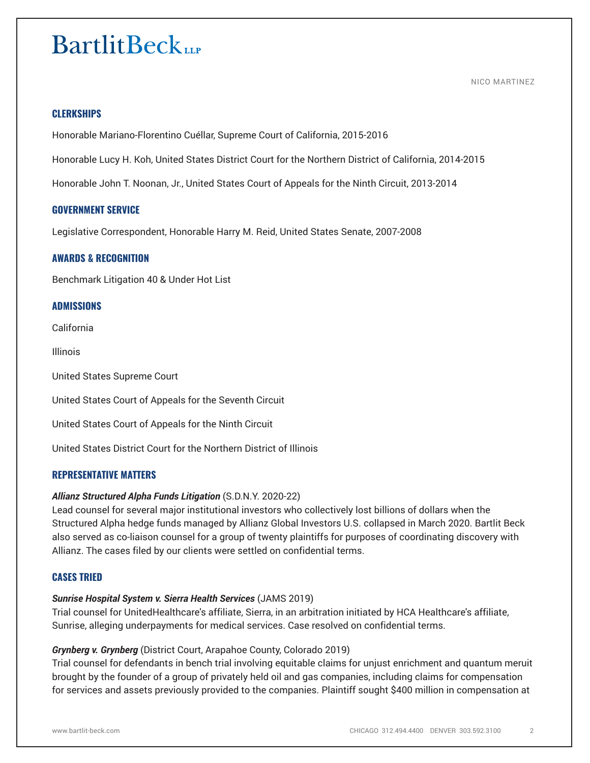NICO MARTINEZ

# **CLERKSHIPS**

Honorable Mariano-Florentino Cuéllar, Supreme Court of California, 2015-2016

Honorable Lucy H. Koh, United States District Court for the Northern District of California, 2014-2015

Honorable John T. Noonan, Jr., United States Court of Appeals for the Ninth Circuit, 2013-2014

#### **GOVERNMENT SERVICE**

Legislative Correspondent, Honorable Harry M. Reid, United States Senate, 2007-2008

# **AWARDS & RECOGNITION**

Benchmark Litigation 40 & Under Hot List

# **ADMISSIONS**

California

Illinois

United States Supreme Court

United States Court of Appeals for the Seventh Circuit

United States Court of Appeals for the Ninth Circuit

United States District Court for the Northern District of Illinois

# **REPRESENTATIVE MATTERS**

#### *Allianz Structured Alpha Funds Litigation* (S.D.N.Y. 2020-22)

Lead counsel for several major institutional investors who collectively lost billions of dollars when the Structured Alpha hedge funds managed by Allianz Global Investors U.S. collapsed in March 2020. Bartlit Beck also served as co-liaison counsel for a group of twenty plaintiffs for purposes of coordinating discovery with Allianz. The cases filed by our clients were settled on confidential terms.

# **CASES TRIED**

#### *Sunrise Hospital System v. Sierra Health Services* (JAMS 2019)

Trial counsel for UnitedHealthcare's affiliate, Sierra, in an arbitration initiated by HCA Healthcare's affiliate, Sunrise, alleging underpayments for medical services. Case resolved on confidential terms.

#### *Grynberg v. Grynberg* (District Court, Arapahoe County, Colorado 2019)

Trial counsel for defendants in bench trial involving equitable claims for unjust enrichment and quantum meruit brought by the founder of a group of privately held oil and gas companies, including claims for compensation for services and assets previously provided to the companies. Plaintiff sought \$400 million in compensation at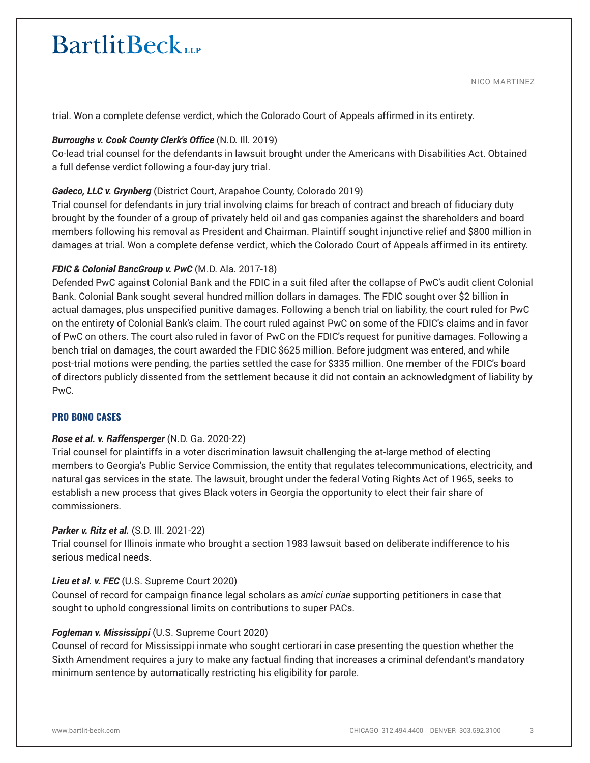NICO MARTINEZ

trial. Won a complete defense verdict, which the Colorado Court of Appeals affirmed in its entirety.

# *Burroughs v. Cook County Clerk's Office* (N.D. Ill. 2019)

Co-lead trial counsel for the defendants in lawsuit brought under the Americans with Disabilities Act. Obtained a full defense verdict following a four-day jury trial.

# *Gadeco, LLC v. Grynberg* (District Court, Arapahoe County, Colorado 2019)

Trial counsel for defendants in jury trial involving claims for breach of contract and breach of fiduciary duty brought by the founder of a group of privately held oil and gas companies against the shareholders and board members following his removal as President and Chairman. Plaintiff sought injunctive relief and \$800 million in damages at trial. Won a complete defense verdict, which the Colorado Court of Appeals affirmed in its entirety.

# *FDIC & Colonial BancGroup v. PwC* (M.D. Ala. 2017-18)

Defended PwC against Colonial Bank and the FDIC in a suit filed after the collapse of PwC's audit client Colonial Bank. Colonial Bank sought several hundred million dollars in damages. The FDIC sought over \$2 billion in actual damages, plus unspecified punitive damages. Following a bench trial on liability, the court ruled for PwC on the entirety of Colonial Bank's claim. The court ruled against PwC on some of the FDIC's claims and in favor of PwC on others. The court also ruled in favor of PwC on the FDIC's request for punitive damages. Following a bench trial on damages, the court awarded the FDIC \$625 million. Before judgment was entered, and while post-trial motions were pending, the parties settled the case for \$335 million. One member of the FDIC's board of directors publicly dissented from the settlement because it did not contain an acknowledgment of liability by PwC.

# **PRO BONO CASES**

# *Rose et al. v. Raffensperger* (N.D. Ga. 2020-22)

Trial counsel for plaintiffs in a voter discrimination lawsuit challenging the at-large method of electing members to Georgia's Public Service Commission, the entity that regulates telecommunications, electricity, and natural gas services in the state. The lawsuit, brought under the federal Voting Rights Act of 1965, seeks to establish a new process that gives Black voters in Georgia the opportunity to elect their fair share of commissioners.

# *Parker v. Ritz et al.* (S.D. Ill. 2021-22)

Trial counsel for Illinois inmate who brought a section 1983 lawsuit based on deliberate indifference to his serious medical needs.

# *Lieu et al. v. FEC* (U.S. Supreme Court 2020)

Counsel of record for campaign finance legal scholars as *amici curiae* supporting petitioners in case that sought to uphold congressional limits on contributions to super PACs.

# *Fogleman v. Mississippi* (U.S. Supreme Court 2020)

Counsel of record for Mississippi inmate who sought certiorari in case presenting the question whether the Sixth Amendment requires a jury to make any factual finding that increases a criminal defendant's mandatory minimum sentence by automatically restricting his eligibility for parole.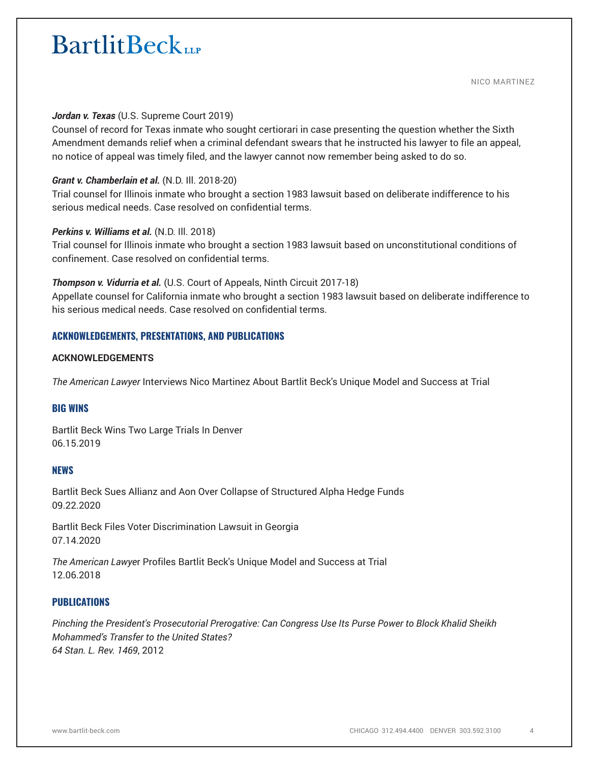NICO MARTINEZ

### *Jordan v. Texas* (U.S. Supreme Court 2019)

Counsel of record for Texas inmate who sought certiorari in case presenting the question whether the Sixth Amendment demands relief when a criminal defendant swears that he instructed his lawyer to file an appeal, no notice of appeal was timely filed, and the lawyer cannot now remember being asked to do so.

### *Grant v. Chamberlain et al.* (N.D. Ill. 2018-20)

Trial counsel for Illinois inmate who brought a section 1983 lawsuit based on deliberate indifference to his serious medical needs. Case resolved on confidential terms.

#### *Perkins v. Williams et al.* (N.D. Ill. 2018)

Trial counsel for Illinois inmate who brought a section 1983 lawsuit based on unconstitutional conditions of confinement. Case resolved on confidential terms.

#### *Thompson v. Vidurria et al.* (U.S. Court of Appeals, Ninth Circuit 2017-18)

Appellate counsel for California inmate who brought a section 1983 lawsuit based on deliberate indifference to his serious medical needs. Case resolved on confidential terms.

# **ACKNOWLEDGEMENTS, PRESENTATIONS, AND PUBLICATIONS**

#### **ACKNOWLEDGEMENTS**

*The American Lawyer* Interviews Nico Martinez About Bartlit Beck's Unique Model and Success at Trial

# **BIG WINS**

Bartlit Beck Wins Two Large Trials In Denver 06.15.2019

#### **NEWS**

Bartlit Beck Sues Allianz and Aon Over Collapse of Structured Alpha Hedge Funds 09.22.2020

Bartlit Beck Files Voter Discrimination Lawsuit in Georgia 07.14.2020

*The American Lawye*r Profiles Bartlit Beck's Unique Model and Success at Trial 12.06.2018

# **PUBLICATIONS**

*Pinching the President's Prosecutorial Prerogative: Can Congress Use Its Purse Power to Block Khalid Sheikh Mohammed's Transfer to the United States? 64 Stan. L. Rev. 1469*, 2012